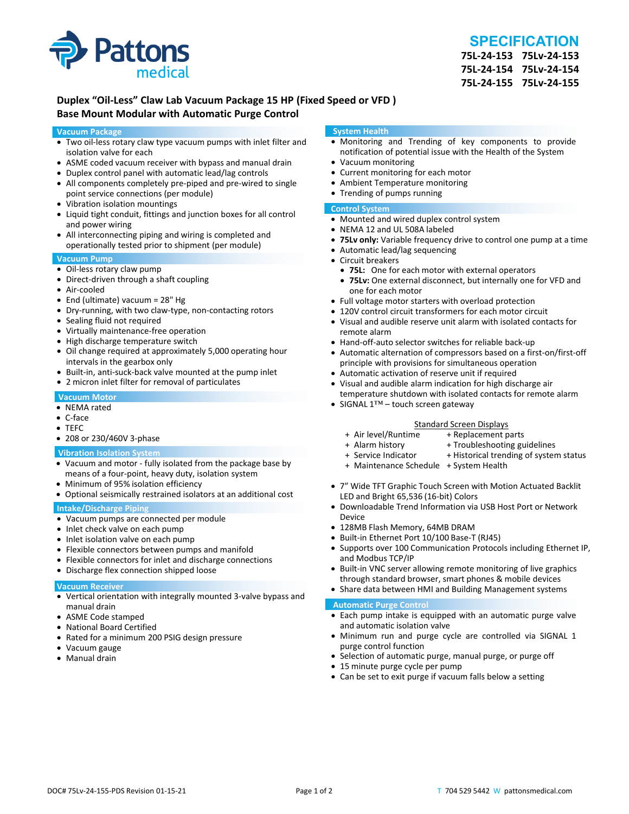

# **SPECIFICATION**

**75L‐24‐153 75Lv‐24‐153 75L‐24‐154 75Lv‐24‐154 75L‐24‐155 75Lv‐24‐155**

## **Duplex "Oil‐Less" Claw Lab Vacuum Package 15 HP (Fixed Speed or VFD ) Base Mount Modular with Automatic Purge Control**

#### **Vacuum Package**

- Two oil‐less rotary claw type vacuum pumps with inlet filter and isolation valve for each
- ASME coded vacuum receiver with bypass and manual drain
- Duplex control panel with automatic lead/lag controls
- All components completely pre-piped and pre-wired to single point service connections (per module)
- Vibration isolation mountings
- Liquid tight conduit, fittings and junction boxes for all control and power wiring
- All interconnecting piping and wiring is completed and operationally tested prior to shipment (per module)

#### **Vacuum Pump**

- Oil-less rotary claw pump
- Direct-driven through a shaft coupling
- Air‐cooled
- End (ultimate) vacuum = 28" Hg
- Dry-running, with two claw-type, non-contacting rotors
- Sealing fluid not required
- Virtually maintenance-free operation
- High discharge temperature switch
- Oil change required at approximately 5,000 operating hour intervals in the gearbox only
- Built-in, anti-suck-back valve mounted at the pump inlet
- 2 micron inlet filter for removal of particulates

#### **Vacuum Motor**

- NEMA rated
- C‐face
- TEFC
- 208 or 230/460V 3-phase

#### **Vibration Isolation System**

- Vacuum and motor ‐ fully isolated from the package base by means of a four‐point, heavy duty, isolation system
- Minimum of 95% isolation efficiency
- Optional seismically restrained isolators at an additional cost

#### **Intake/Discharge Piping**

- Vacuum pumps are connected per module
- Inlet check valve on each pump
- Inlet isolation valve on each pump
- Flexible connectors between pumps and manifold
- Flexible connectors for inlet and discharge connections
- Discharge flex connection shipped loose

#### **Vacuum Receiver**

- Vertical orientation with integrally mounted 3‐valve bypass and manual drain
- ASME Code stamped
- National Board Certified
- Rated for a minimum 200 PSIG design pressure
- Vacuum gauge
- Manual drain

#### **System Health**

- Monitoring and Trending of key components to provide notification of potential issue with the Health of the System
- Vacuum monitoring
- Current monitoring for each motor
- Ambient Temperature monitoring
- Trending of pumps running

#### **Control System**

- Mounted and wired duplex control system
- NEMA 12 and UL 508A labeled
- **75Lv only:** Variable frequency drive to control one pump at a time
- Automatic lead/lag sequencing
- Circuit breakers
- **75L:** One for each motor with external operators
- **75Lv:** One external disconnect, but internally one for VFD and one for each motor
- Full voltage motor starters with overload protection
- 120V control circuit transformers for each motor circuit
- Visual and audible reserve unit alarm with isolated contacts for remote alarm
- Hand-off-auto selector switches for reliable back-up
- Automatic alternation of compressors based on a first-on/first-off principle with provisions for simultaneous operation
- Automatic activation of reserve unit if required
- Visual and audible alarm indication for high discharge air temperature shutdown with isolated contacts for remote alarm
- SIGNAL 1™ touch screen gateway

# Standard Screen Displays<br>Air level/Runtime + Replacement p +

- + Air level/Runtime + Replacement parts
- 
- + Troubleshooting guidelines
- + Service Indicator + Historical trending of system status
- + Maintenance Schedule + System Health
- 7" Wide TFT Graphic Touch Screen with Motion Actuated Backlit LED and Bright 65,536 (16‐bit) Colors
- Downloadable Trend Information via USB Host Port or Network Device
- 128MB Flash Memory, 64MB DRAM
- Built-in Ethernet Port 10/100 Base-T (RJ45)
- Supports over 100 Communication Protocols including Ethernet IP, and Modbus TCP/IP
- Built-in VNC server allowing remote monitoring of live graphics through standard browser, smart phones & mobile devices
- Share data between HMI and Building Management systems

#### **Automatic Purge Control**

- Each pump intake is equipped with an automatic purge valve and automatic isolation valve
- Minimum run and purge cycle are controlled via SIGNAL 1 purge control function
- Selection of automatic purge, manual purge, or purge off
- 15 minute purge cycle per pump
- Can be set to exit purge if vacuum falls below a setting